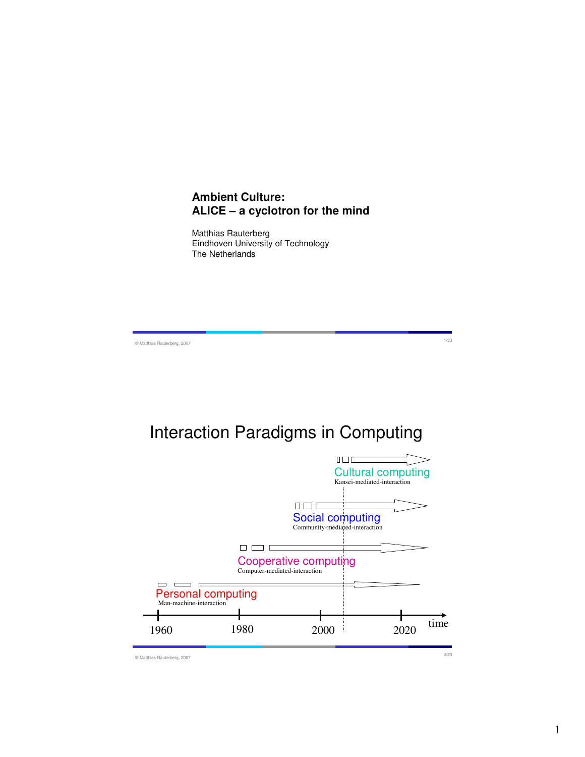### **Ambient Culture: ALICE – a cyclotron for the mind**

Matthias Rauterberg Eindhoven University of Technology The Netherlands

© Matthias Rauterberg, 2007 1/23

## Interaction Paradigms in Computing

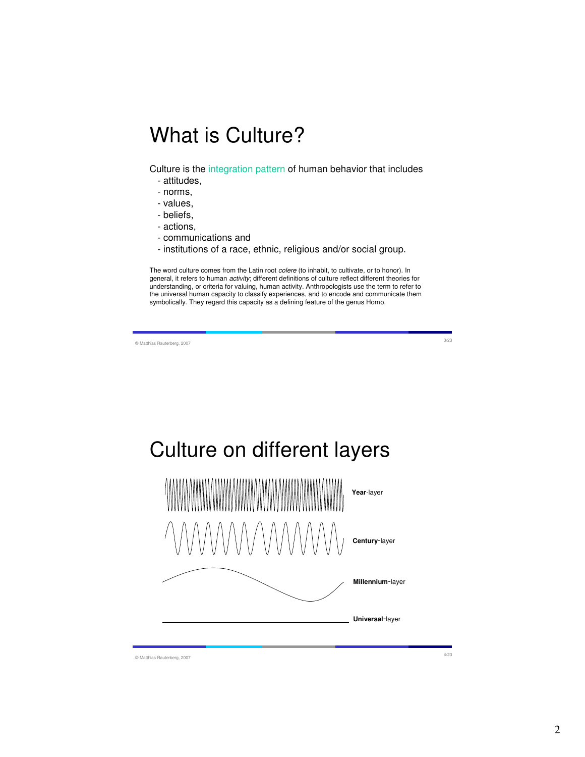# What is Culture?

Culture is the integration pattern of human behavior that includes

- attitudes,
- norms,
- values,
- beliefs,
- actions,
- communications and
- institutions of a race, ethnic, religious and/or social group.

The word culture comes from the Latin root *colere* (to inhabit, to cultivate, or to honor). In general, it refers to human *activity*; different definitions of culture reflect different theories for understanding, or criteria for valuing, human activity. Anthropologists use the term to refer to the universal human capacity to classify experiences, and to encode and communicate them symbolically. They regard this capacity as a defining feature of the genus Homo.

© Matthias Rauterberg, 2007 3/23

Culture on different layers



© Matthias Rauterberg, 2007 4/23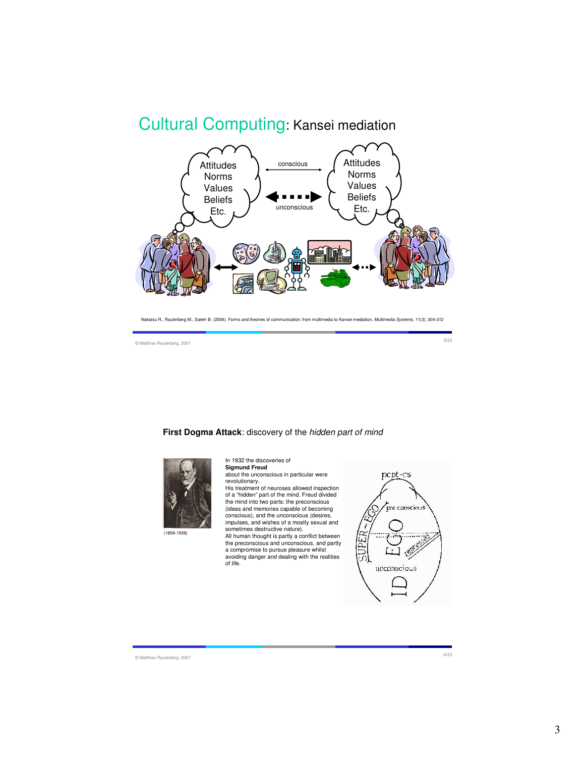### Cultural Computing: Kansei mediation



Nakatsu R., Rauterberg M., Salem B. (2006). Forms and theories of communication: from multimedia to Kansei mediation. Multimedia Systems, 11(3), 304-312

© Matthias Rauterberg, 2007 5/23

**First Dogma Attack**: discovery of the hidden part of mind



In 1932 the discoveries of **Sigmund Freud** about the unconscious in particular were

revolutionary. His treatment of neuroses allowed inspection of a "hidden" part of the mind. Freud divided the mind into two parts: the preconscious

(ideas and memories capable of becoming conscious), and the unconscious (desires, impulses, and wishes of a mostly sexual and sometimes destructive nature).

All human thought is partly a conflict between the preconscious and unconscious, and partly a compromise to pursue pleasure whilst avoiding danger and dealing with the realities of life.



© Matthias Rauterberg, 2007 6/23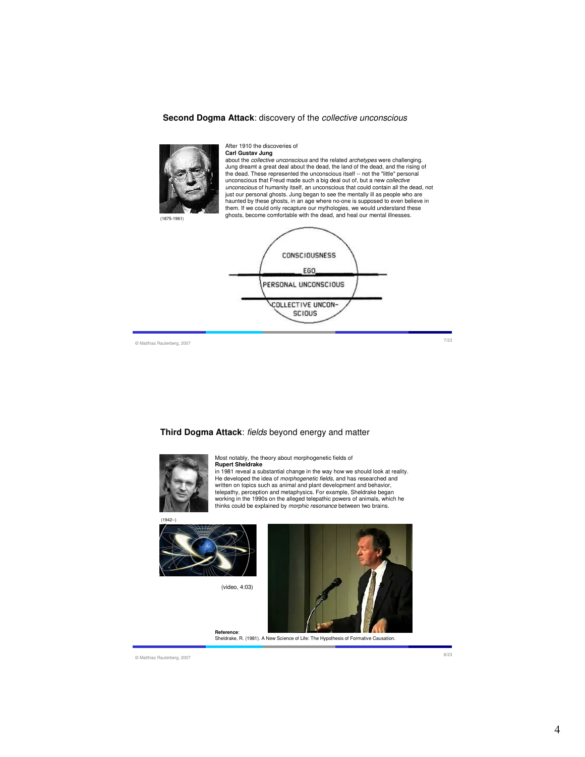#### **Second Dogma Attack**: discovery of the collective unconscious



#### After 1910 the discoveries of

**Carl Gustav Jung** about the collective unconscious and the related archetypes were challenging. Jung dreamt a great deal about the dead, the land of the dead, and the rising of the dead. These represented the unconscious itself -- not the "little" personal unconscious that Freud made such a big deal out of, but a new *collective*<br>*unconscious* of humanity itself, an unconscious that could contain all the dead, not just our personal ghosts. Jung began to see the mentally ill as people who are haunted by these ghosts, in an age where no-one is supposed to even believe in them. If we could only recapture our mythologies, we would understand these ghosts, become comfortable with the dead, and heal our mental illnesses.



© Matthias Rauterberg, 2007 7/23

**Third Dogma Attack**: fields beyond energy and matter



Most notably, the theory about morphogenetic fields of **Rupert Sheldrake** in 1981 reveal a substantial change in the way how we should look at reality.

He developed the idea of *morphogenetic fields*, and has researched and<br>written on topics such as animal and plant development and behavior, telepathy, perception and metaphysics. For example, Sheldrake began working in the 1990s on the alleged telepathic powers of animals, which he<br>thinks could be explained by *morphic resonance* between two brains.



(video, 4:03)



**Reference**: Sheldrake, R. (1981). A New Science of Life: The Hypothesis of Formative Causation.

© Matthias Rauterberg, 2007 8/23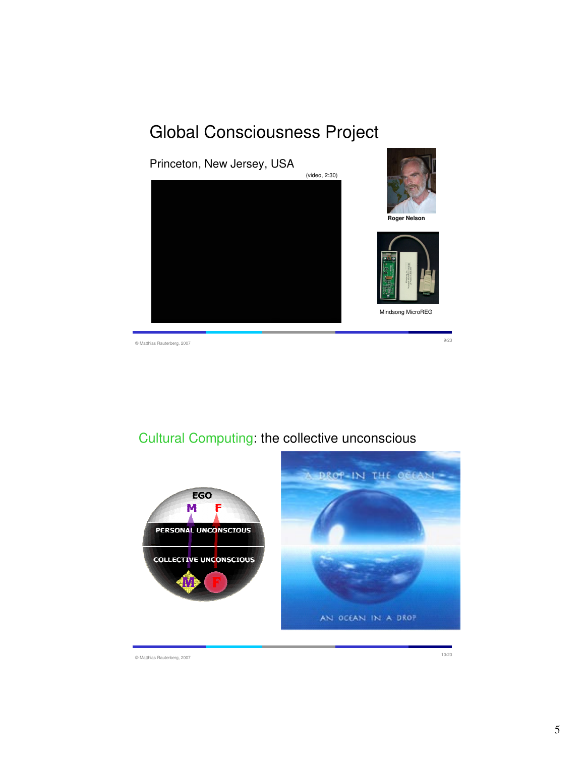## Global Consciousness Project



© Matthias Rauterberg, 2007 9/23

### Cultural Computing: the collective unconscious



© Matthias Rauterberg, 2007 10/23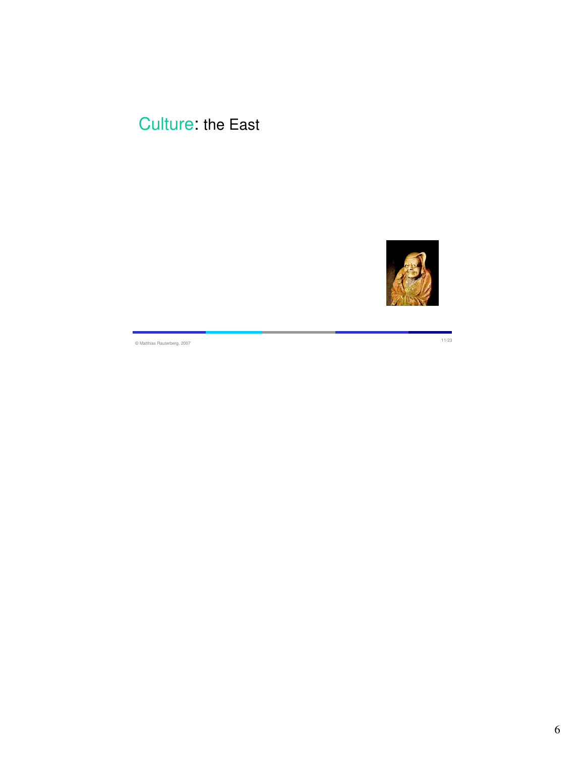## Culture: the East



© Matthias Rauterberg, 2007 11/23